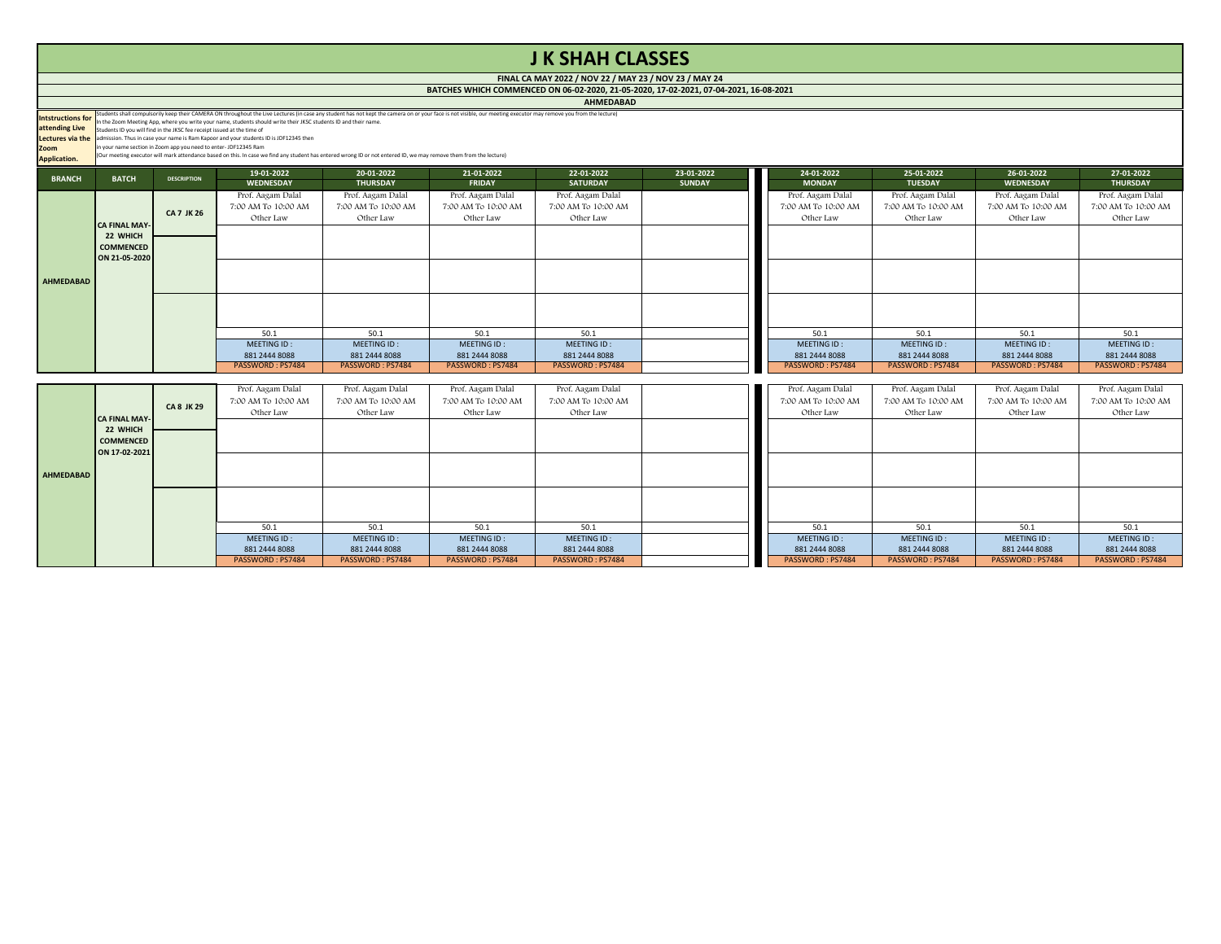| 19-01-2022          | 20-01-2022          | 21-01-2022          | 22-01-2022          | 23-01-2022    | 24-01-2022          | 25-01-2022          | 26-01-2022          | 27-01-2022          |
|---------------------|---------------------|---------------------|---------------------|---------------|---------------------|---------------------|---------------------|---------------------|
| <b>WEDNESDAY</b>    | <b>THURSDAY</b>     | <b>FRIDAY</b>       | <b>SATURDAY</b>     | <b>SUNDAY</b> | <b>MONDAY</b>       | <b>TUESDAY</b>      | <b>WEDNESDAY</b>    | <b>THURSDAY</b>     |
| Prof. Aagam Dalal   | Prof. Aagam Dalal   | Prof. Aagam Dalal   | Prof. Aagam Dalal   |               | Prof. Aagam Dalal   | Prof. Aagam Dalal   | Prof. Aagam Dalal   | Prof. Aagam Dalal   |
| 7:00 AM To 10:00 AM | 7:00 AM To 10:00 AM | 7:00 AM To 10:00 AM | 7:00 AM To 10:00 AM |               | 7:00 AM To 10:00 AM | 7:00 AM To 10:00 AM | 7:00 AM To 10:00 AM | 7:00 AM To 10:00 AM |
| Other Law           | Other Law           | Other Law           | Other Law           |               | Other Law           | Other Law           | Other Law           | Other Law           |
|                     |                     |                     |                     |               |                     |                     |                     |                     |
|                     |                     |                     |                     |               |                     |                     |                     |                     |
|                     |                     |                     |                     |               |                     |                     |                     |                     |
|                     |                     |                     |                     |               |                     |                     |                     |                     |
|                     |                     |                     |                     |               |                     |                     |                     |                     |
|                     |                     |                     |                     |               |                     |                     |                     |                     |
|                     |                     |                     |                     |               |                     |                     |                     |                     |
|                     |                     |                     |                     |               |                     |                     |                     |                     |
|                     |                     |                     |                     |               |                     |                     |                     |                     |
| 50.1                | 50.1                | 50.1                | 50.1                |               | 50.1                | 50.1                | 50.1                | 50.1                |
| MEETING ID:         | MEETING ID:         | MEETING ID:         | MEETING ID:         |               | MEETING ID:         | MEETING ID:         | MEETING ID:         | MEETING ID:         |
| 881 2444 8088       | 881 2444 8088       | 881 2444 8088       | 881 2444 8088       |               | 881 2444 8088       | 881 2444 8088       | 881 2444 8088       | 881 2444 8088       |
| PASSWORD: PS7484    | PASSWORD: PS7484    | PASSWORD: PS7484    | PASSWORD: PS7484    |               | PASSWORD: PS7484    | PASSWORD: PS7484    | PASSWORD: PS7484    | PASSWORD: PS7484    |
|                     |                     |                     |                     |               |                     |                     |                     |                     |
| Prof. Aagam Dalal   | Prof. Aagam Dalal   | Prof. Aagam Dalal   | Prof. Aagam Dalal   |               | Prof. Aagam Dalal   | Prof. Aagam Dalal   | Prof. Aagam Dalal   | Prof. Aagam Dalal   |
| 7:00 AM To 10:00 AM | 7:00 AM To 10:00 AM | 7:00 AM To 10:00 AM | 7:00 AM To 10:00 AM |               | 7:00 AM To 10:00 AM | 7:00 AM To 10:00 AM | 7:00 AM To 10:00 AM | 7:00 AM To 10:00 AM |
| Other Law           | Other Law           | Other Law           | Other Law           |               | Other Law           | Other Law           | Other Law           | Other Law           |
|                     |                     |                     |                     |               |                     |                     |                     |                     |
|                     |                     |                     |                     |               |                     |                     |                     |                     |
|                     |                     |                     |                     |               |                     |                     |                     |                     |
|                     |                     |                     |                     |               |                     |                     |                     |                     |
|                     |                     |                     |                     |               |                     |                     |                     |                     |
|                     |                     |                     |                     |               |                     |                     |                     |                     |

|                                                                                  |                                                                       |                                                                                                                                                          |                                                                                                                                                                                                                            |                                                                                                                                                                    |                                                                                                                                                                                                                  | <b>MIIIVILDNUND</b>                                                                                  |                             |                                                                                                      |                                                                                                             |                                                                                                      |                                                                                                      |
|----------------------------------------------------------------------------------|-----------------------------------------------------------------------|----------------------------------------------------------------------------------------------------------------------------------------------------------|----------------------------------------------------------------------------------------------------------------------------------------------------------------------------------------------------------------------------|--------------------------------------------------------------------------------------------------------------------------------------------------------------------|------------------------------------------------------------------------------------------------------------------------------------------------------------------------------------------------------------------|------------------------------------------------------------------------------------------------------|-----------------------------|------------------------------------------------------------------------------------------------------|-------------------------------------------------------------------------------------------------------------|------------------------------------------------------------------------------------------------------|------------------------------------------------------------------------------------------------------|
| <b>Intstructions for</b><br>attending Live<br><b>Zoom</b><br><b>Application.</b> |                                                                       | Students ID you will find in the JKSC fee receipt issued at the time of<br>$\frac{1}{2}$ in your name section in Zoom app you need to enter-JDF12345 Ram | In the Zoom Meeting App, where you write your name, students should write their JKSC students ID and their name.<br>Lectures via the admission. Thus in case your name is Ram Kapoor and your students ID is JDF12345 then | (Our meeting executor will mark attendance based on this. In case we find any student has entered wrong ID or not entered ID, we may remove them from the lecture) | Students shall compulsorily keep their CAMERA ON throughout the Live Lectures (in case any student has not kept the camera on or your face is not visible, our meeting executor may remove you from the lecture) |                                                                                                      |                             |                                                                                                      |                                                                                                             |                                                                                                      |                                                                                                      |
| <b>BRANCH</b>                                                                    | <b>BATCH</b>                                                          | <b>DESCRIPTION</b>                                                                                                                                       | 19-01-2022<br><b>WEDNESDAY</b>                                                                                                                                                                                             | 20-01-2022<br><b>THURSDAY</b>                                                                                                                                      | 21-01-2022<br><b>FRIDAY</b>                                                                                                                                                                                      | 22-01-2022<br><b>SATURDAY</b>                                                                        | 23-01-2022<br><b>SUNDAY</b> | 24-01-2022<br><b>MONDAY</b>                                                                          | 25-01-2022<br><b>TUESDAY</b>                                                                                | 26-01-2022<br><b>WEDNESDAY</b>                                                                       | 27-01-2022<br><b>THURSDAY</b>                                                                        |
| AHMEDABAD                                                                        | <b>CA FINAL MAY-</b><br>22 WHICH<br><b>COMMENCED</b><br>ON 21-05-2020 | <b>CA 7 JK 26</b>                                                                                                                                        | Prof. Aagam Dalal<br>7:00 AM To 10:00 AM<br>Other Law                                                                                                                                                                      | Prof. Aagam Dalal<br>7:00 AM To 10:00 AM<br>Other Law                                                                                                              | Prof. Aagam Dalal<br>7:00 AM To 10:00 AM<br>Other Law                                                                                                                                                            | Prof. Aagam Dalal<br>7:00 AM To 10:00 AM<br>Other Law                                                |                             | Prof. Aagam Dalal<br>7:00 AM To 10:00 AM<br>Other Law                                                | Prof. Aagam Dalal<br>7:00 AM To 10:00 AM<br>Other Law                                                       | Prof. Aagam Dalal<br>7:00 AM To 10:00 AM<br>Other Law                                                | Prof. Aagam D<br>7:00 AM To 10:0<br>Other Law                                                        |
|                                                                                  |                                                                       | <b>CA 8 JK 29</b>                                                                                                                                        | 50.1<br><b>MEETING ID:</b><br>881 2444 8088<br>PASSWORD: PS7484<br>Prof. Aagam Dalal<br>7:00 AM To 10:00 AM                                                                                                                | 50.1<br>MEETING ID:<br>881 2444 8088<br>PASSWORD: PS7484<br>Prof. Aagam Dalal<br>7:00 AM To 10:00 AM                                                               | 50.1<br>MEETING ID:<br>881 2444 8088<br>PASSWORD: PS7484<br>Prof. Aagam Dalal<br>7:00 AM To 10:00 AM                                                                                                             | 50.1<br>MEETING ID:<br>881 2444 8088<br>PASSWORD: PS7484<br>Prof. Aagam Dalal<br>7:00 AM To 10:00 AM |                             | 50.1<br>MEETING ID:<br>881 2444 8088<br>PASSWORD: PS7484<br>Prof. Aagam Dalal<br>7:00 AM To 10:00 AM | 50.1<br><b>MEETING ID:</b><br>881 2444 8088<br>PASSWORD: PS7484<br>Prof. Aagam Dalal<br>7:00 AM To 10:00 AM | 50.1<br>MEETING ID:<br>881 2444 8088<br>PASSWORD: PS7484<br>Prof. Aagam Dalal<br>7:00 AM To 10:00 AM | 50.1<br><b>MEETING ID</b><br>881 2444 808<br><b>PASSWORD: PS</b><br>Prof. Aagam D<br>7:00 AM To 10:0 |
|                                                                                  |                                                                       |                                                                                                                                                          |                                                                                                                                                                                                                            |                                                                                                                                                                    |                                                                                                                                                                                                                  | $\sim$ $\sigma$ $\sim$                                                                               |                             |                                                                                                      |                                                                                                             | $\sim$ $\sigma$                                                                                      | $\sim$ $\sim$ $\sim$                                                                                 |

# **J K SHAH CLASSES**

**FINAL CA MAY 2022 / NOV 22 / MAY 23 / NOV 23 / MAY 24 BATCHES WHICH COMMENCED ON 06-02-2020, 21-05-2020, 17-02-2021, 07-04-2021, 16-08-2021**

**AHMEDABAD**

|                  | <b>CA FINAL MAY-1</b>                         | <b>CA 8 JK 29</b> | 7:00 AM To 10:00 AM<br>Other Law | 7:00 AM To 10:00 AM<br>Other Law | 7:00 AM To 10:00 AM<br>Other Law | 7:00 AM To 10:00 AM<br>Other Law | 7:00 AM To 10:00 AM<br>Other Law | 7:00 AM To 10:00 AM<br>Other Law | 7:00 AM To 10:00 AM<br>Other Law | 7:00 AM To 10:00 AM<br>Other Law |
|------------------|-----------------------------------------------|-------------------|----------------------------------|----------------------------------|----------------------------------|----------------------------------|----------------------------------|----------------------------------|----------------------------------|----------------------------------|
|                  | 22 WHICH<br><b>COMMENCED</b><br>ON 17-02-2021 |                   |                                  |                                  |                                  |                                  |                                  |                                  |                                  |                                  |
| <b>AHMEDABAD</b> |                                               |                   |                                  |                                  |                                  |                                  |                                  |                                  |                                  |                                  |
|                  |                                               |                   |                                  |                                  |                                  |                                  |                                  |                                  |                                  |                                  |
|                  |                                               |                   |                                  |                                  |                                  |                                  |                                  |                                  |                                  |                                  |
|                  |                                               |                   | 50.1<br>MEETING ID:              | 50.1<br>MEETING ID:              | 50.1<br>MEETING ID:              | 50.1<br>MEETING ID:              | 50.1<br>MEETING ID:              | 50.1<br>MEETING ID:              | 50.1<br>MEETING ID:              | 50.1<br>MEETING ID:              |
|                  |                                               |                   | 881 2444 8088                    | 881 2444 8088                    | 881 2444 8088                    | 881 2444 8088                    | 881 2444 8088                    | 881 2444 8088                    | 881 2444 8088                    | 881 2444 8088                    |
|                  |                                               |                   | PASSWORD: PS7484                 | PASSWORD: PS7484                 | PASSWORD: PS7484                 | PASSWORD: PS7484                 | PASSWORD: PS7484                 | PASSWORD: PS7484                 | PASSWORD: PS7484                 | PASSWORD: PS7484                 |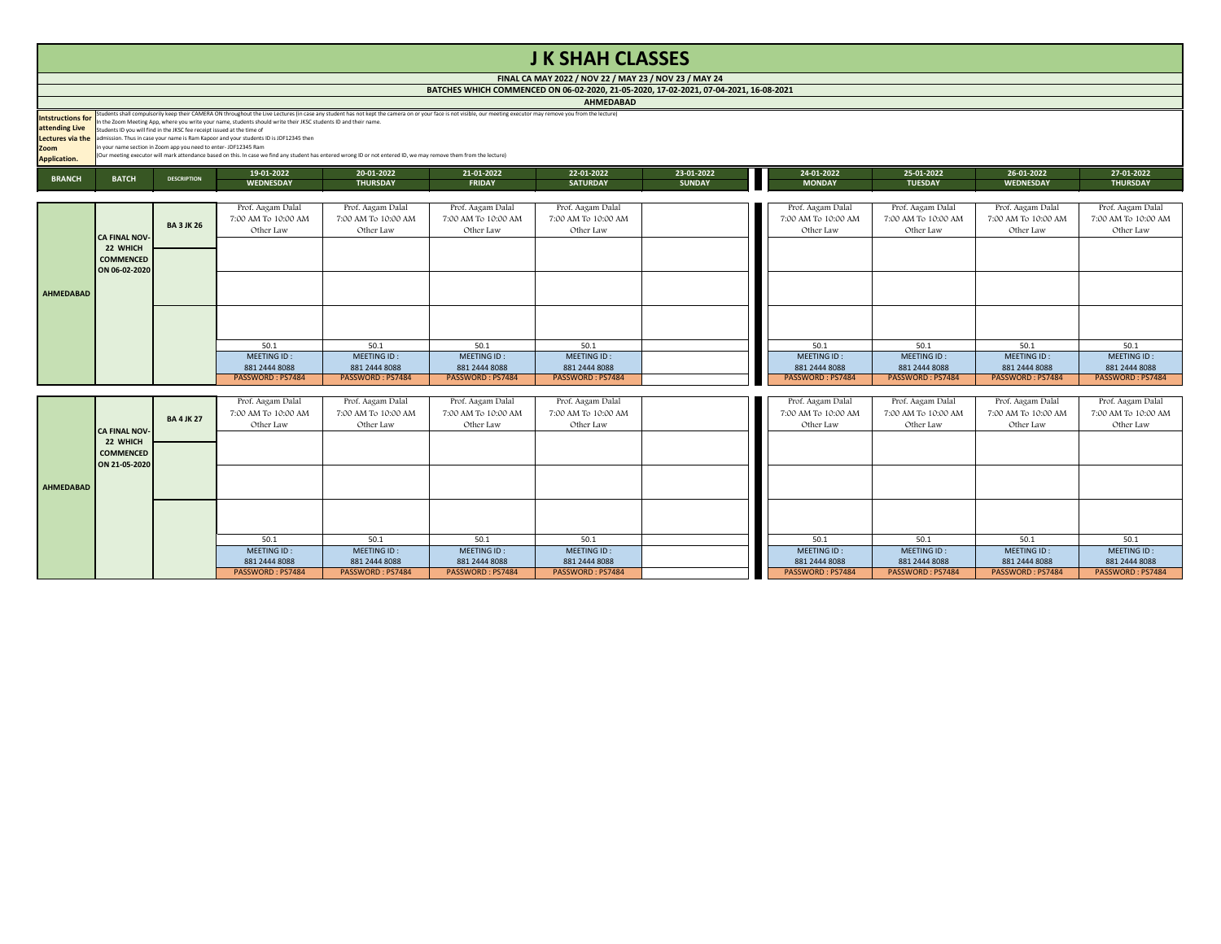# **J K SHAH CLASSES**

**AHMEDABAD**

|                                     |                                                                               |                    |                                                                                                                                                                                                                                                                                                                                                                                                                                                       |                               |                             | <b>AURULUAUAU</b>             |                             |                             |                              |                                |                               |
|-------------------------------------|-------------------------------------------------------------------------------|--------------------|-------------------------------------------------------------------------------------------------------------------------------------------------------------------------------------------------------------------------------------------------------------------------------------------------------------------------------------------------------------------------------------------------------------------------------------------------------|-------------------------------|-----------------------------|-------------------------------|-----------------------------|-----------------------------|------------------------------|--------------------------------|-------------------------------|
| Intstructions for<br>attending Live | Students ID you will find in the JKSC fee receipt issued at the time of       |                    | Students shall compulsorily keep their CAMERA ON throughout the Live Lectures (in case any student has not kept the camera on or your face is not visible, our meeting executor may remove you from the lecture)<br>In the Zoom Meeting App, where you write your name, students should write their JKSC students ID and their name.<br><b>Lectures via the</b> admission. Thus in case your name is Ram Kapoor and your students ID is JDF12345 then |                               |                             |                               |                             |                             |                              |                                |                               |
| <b>Zoom</b><br><b>Application.</b>  | $\frac{1}{2}$ in your name section in Zoom app you need to enter-JDF12345 Ram |                    | (Our meeting executor will mark attendance based on this. In case we find any student has entered wrong ID or not entered ID, we may remove them from the lecture)                                                                                                                                                                                                                                                                                    |                               |                             |                               |                             |                             |                              |                                |                               |
| <b>BRANCH</b>                       | <b>BATCH</b>                                                                  | <b>DESCRIPTION</b> | 19-01-2022<br><b>WEDNESDAY</b>                                                                                                                                                                                                                                                                                                                                                                                                                        | 20-01-2022<br><b>THURSDAY</b> | 21-01-2022<br><b>FRIDAY</b> | 22-01-2022<br><b>SATURDAY</b> | 23-01-2022<br><b>SUNDAY</b> | 24-01-2022<br><b>MONDAY</b> | 25-01-2022<br><b>TUESDAY</b> | 26-01-2022<br><b>WEDNESDAY</b> | 27-01-2022<br><b>THURSDAY</b> |

| 19-01-2022          | <b>20-01-2022</b>   | 21-01-2022          | 22-01-2022          | <b>23-01-2022</b> | 24-01-2022          | 25-01-2022          | <b>26-01-2022</b>   | 27-01-2022          |
|---------------------|---------------------|---------------------|---------------------|-------------------|---------------------|---------------------|---------------------|---------------------|
| <b>WEDNESDAY</b>    | <b>THURSDAY</b>     | <b>FRIDAY</b>       | <b>SATURDAY</b>     | <b>SUNDAY</b>     | <b>MONDAY</b>       | <b>TUESDAY</b>      | <b>WEDNESDAY</b>    | <b>THURSDAY</b>     |
|                     |                     |                     |                     |                   |                     |                     |                     |                     |
| Prof. Aagam Dalal   | Prof. Aagam Dalal   | Prof. Aagam Dalal   | Prof. Aagam Dalal   |                   | Prof. Aagam Dalal   | Prof. Aagam Dalal   | Prof. Aagam Dalal   | Prof. Aagam Dalal   |
| 7:00 AM To 10:00 AM | 7:00 AM To 10:00 AM | 7:00 AM To 10:00 AM | 7:00 AM To 10:00 AM |                   | 7:00 AM To 10:00 AM | 7:00 AM To 10:00 AM | 7:00 AM To 10:00 AM | 7:00 AM To 10:00 AM |
| Other Law           | Other Law           | Other Law           | Other Law           |                   | Other Law           | Other Law           | Other Law           | Other Law           |
|                     |                     |                     |                     |                   |                     |                     |                     |                     |
|                     |                     |                     |                     |                   |                     |                     |                     |                     |
|                     |                     |                     |                     |                   |                     |                     |                     |                     |
|                     |                     |                     |                     |                   |                     |                     |                     |                     |
|                     |                     |                     |                     |                   |                     |                     |                     |                     |
|                     |                     |                     |                     |                   |                     |                     |                     |                     |
|                     |                     |                     |                     |                   |                     |                     |                     |                     |
|                     |                     |                     |                     |                   |                     |                     |                     |                     |
|                     |                     |                     |                     |                   |                     |                     |                     |                     |
| 50.1                | 50.1                | 50.1                | 50.1                |                   | 50.1                | 50.1                | 50.1                | 50.1                |
| MEETING ID:         | MEETING ID:         | MEETING ID:         | MEETING ID:         |                   | MEETING ID:         | MEETING ID:         | MEETING ID:         | MEETING ID:         |
| 881 2444 8088       | 881 2444 8088       | 881 2444 8088       | 881 2444 8088       |                   | 881 2444 8088       | 881 2444 8088       | 881 2444 8088       | 881 2444 8088       |
| PASSWORD: PS7484    | PASSWORD: PS7484    | PASSWORD: PS7484    | PASSWORD: PS7484    |                   | PASSWORD: PS7484    | PASSWORD: PS7484    | PASSWORD: PS7484    | PASSWORD: PS7484    |
|                     |                     |                     |                     |                   |                     |                     |                     |                     |
| Prof. Aagam Dalal   | Prof. Aagam Dalal   | Prof. Aagam Dalal   | Prof. Aagam Dalal   |                   | Prof. Aagam Dalal   | Prof. Aagam Dalal   | Prof. Aagam Dalal   | Prof. Aagam Dalal   |
| 7:00 AM To 10:00 AM | 7:00 AM To 10:00 AM | 7:00 AM To 10:00 AM | 7:00 AM To 10:00 AM |                   | 7:00 AM To 10:00 AM | 7:00 AM To 10:00 AM | 7:00 AM To 10:00 AM | 7:00 AM To 10:00 AM |
| Other Law           | Other Law           | Other Law           | Other Law           |                   | Other Law           | Other Law           | Other Law           | Other Law           |
|                     |                     |                     |                     |                   |                     |                     |                     |                     |
|                     |                     |                     |                     |                   |                     |                     |                     |                     |
|                     |                     |                     |                     |                   |                     |                     |                     |                     |
|                     |                     |                     |                     |                   |                     |                     |                     |                     |
|                     |                     |                     |                     |                   |                     |                     |                     |                     |
|                     |                     |                     |                     |                   |                     |                     |                     |                     |
|                     |                     |                     |                     |                   |                     |                     |                     |                     |
|                     |                     |                     |                     |                   |                     |                     |                     |                     |
|                     |                     |                     |                     |                   |                     |                     |                     |                     |
| 50.1                | 50.1                | 50.1                | 50.1                |                   | 50.1                | 50.1                | 50.1                | 50.1                |
| MEETING ID:         | MEETING ID:         | MEETING ID:         | MEETING ID:         |                   | MEETING ID:         | MEETING ID:         | MEETING ID:         | MEETING ID:         |
| 881 2444 8088       | 881 2444 8088       | 881 2444 8088       | 881 2444 8088       |                   | 881 2444 8088       | 881 2444 8088       | 881 2444 8088       | 881 2444 8088       |
| PASSWORD: PS7484    | PASSWORD: PS7484    | PASSWORD: PS7484    | PASSWORD: PS7484    |                   | PASSWORD: PS7484    | PASSWORD: PS7484    | PASSWORD: PS7484    | PASSWORD: PS7484    |

|           |                                               |                   | Prof. Aagam Dalal<br>7:00 AM To 10:00 AM | Prof. Aagam Dalal<br>7:00 AM To 10:00 AM | Prof. Aagam Dalal<br>7:00 AM To 10:00 AM | Prof. Aagam Dalal<br>7:00 AM To 10:00 AM | Prof. Aagam Dalal<br>7:00 AM To 10:00 AM | Prof. Aagam Dalal<br>7:00 AM To 10:00 AM | Prof. Aagam Dalal<br>7:00 AM To 10:00 AM | Prof. Aagam Dalal<br>7:00 AM To 10:00 A |
|-----------|-----------------------------------------------|-------------------|------------------------------------------|------------------------------------------|------------------------------------------|------------------------------------------|------------------------------------------|------------------------------------------|------------------------------------------|-----------------------------------------|
|           | <b>CA FINAL NOV-</b>                          | <b>BA 3 JK 26</b> | Other Law                                | Other Law                                | Other Law                                | Other Law                                | Other Law                                | Other Law                                | Other Law                                | Other Law                               |
|           | 22 WHICH<br><b>COMMENCED</b><br>ON 06-02-2020 |                   |                                          |                                          |                                          |                                          |                                          |                                          |                                          |                                         |
| AHMEDABAD |                                               |                   |                                          |                                          |                                          |                                          |                                          |                                          |                                          |                                         |
|           |                                               |                   |                                          |                                          |                                          |                                          |                                          |                                          |                                          |                                         |
|           |                                               |                   | 50.1                                     | 50.1                                     | 50.1                                     | 50.1                                     | 50.1                                     | 50.1                                     | 50.1                                     | 50.1                                    |
|           |                                               |                   | MEETING ID:                              | MEETING ID:                              | MEETING ID:                              | MEETING ID:                              | MEETING ID:                              | MEETING ID:                              | MEETING ID:                              | MEETING ID:                             |
|           |                                               |                   | 881 2444 8088                            | 881 2444 8088                            | 881 2444 8088                            | 881 2444 8088                            | 881 2444 8088                            | 881 2444 8088                            | 881 2444 8088                            | 881 2444 8088                           |
|           |                                               |                   | PASSWORD: PS7484                         | PASSWORD: PS7484                         | PASSWORD : PS7484                        | PASSWORD: PS7484                         | PASSWORD: PS7484                         | PASSWORD: PS7484                         | PASSWORD: PS7484                         | <b>PASSWORD: PS748</b>                  |

|                  |                      |                   | Prof. Aagam Dalal   | Prof. Aagam Dalal   | Prof. Aagam Dalal   | Prof. Aagam Dalal   | Prof. Aagam Dalal   | Prof. Aagam Dalal   | Prof. Aagam Dalal   | Prof. Aagam Dalal   |
|------------------|----------------------|-------------------|---------------------|---------------------|---------------------|---------------------|---------------------|---------------------|---------------------|---------------------|
|                  |                      |                   | 7:00 AM To 10:00 AM | 7:00 AM To 10:00 AM | 7:00 AM To 10:00 AM | 7:00 AM To 10:00 AM | 7:00 AM To 10:00 AM | 7:00 AM To 10:00 AM | 7:00 AM To 10:00 AM | 7:00 AM To 10:00 AM |
|                  |                      | <b>BA 4 JK 27</b> | Other Law           | Other Law           | Other Law           | Other Law           | Other Law           | Other Law           | Other Law           | Other Law           |
|                  | <b>CA FINAL NOV-</b> |                   |                     |                     |                     |                     |                     |                     |                     |                     |
|                  | 22 WHICH             |                   |                     |                     |                     |                     |                     |                     |                     |                     |
|                  | <b>COMMENCED</b>     |                   |                     |                     |                     |                     |                     |                     |                     |                     |
|                  | ON 21-05-2020        |                   |                     |                     |                     |                     |                     |                     |                     |                     |
|                  |                      |                   |                     |                     |                     |                     |                     |                     |                     |                     |
| <b>AHMEDABAD</b> |                      |                   |                     |                     |                     |                     |                     |                     |                     |                     |
|                  |                      |                   |                     |                     |                     |                     |                     |                     |                     |                     |
|                  |                      |                   |                     |                     |                     |                     |                     |                     |                     |                     |
|                  |                      |                   |                     |                     |                     |                     |                     |                     |                     |                     |
|                  |                      |                   | 50.1                | 50.1                | 50.1                | 50.1                | 50.1                | 50.1                | 50.1                | 50.1                |
|                  |                      |                   | MEETING ID:         | MEETING ID:         | MEETING ID:         | MEETING ID:         | MEETING ID:         | MEETING ID:         | MEETING ID:         | MEETING ID:         |
|                  |                      |                   | 881 2444 8088       | 881 2444 8088       | 881 2444 8088       | 881 2444 8088       | 881 2444 8088       | 881 2444 8088       | 881 2444 8088       | 881 2444 8088       |
|                  |                      |                   | PASSWORD: PS7484    | PASSWORD: PS7484    | PASSWORD: PS7484    | PASSWORD: PS7484    | PASSWORD: PS7484    | PASSWORD: PS7484    | PASSWORD: PS7484    | PASSWORD: PS7484    |

| MAY 24 |  |  |
|--------|--|--|
|        |  |  |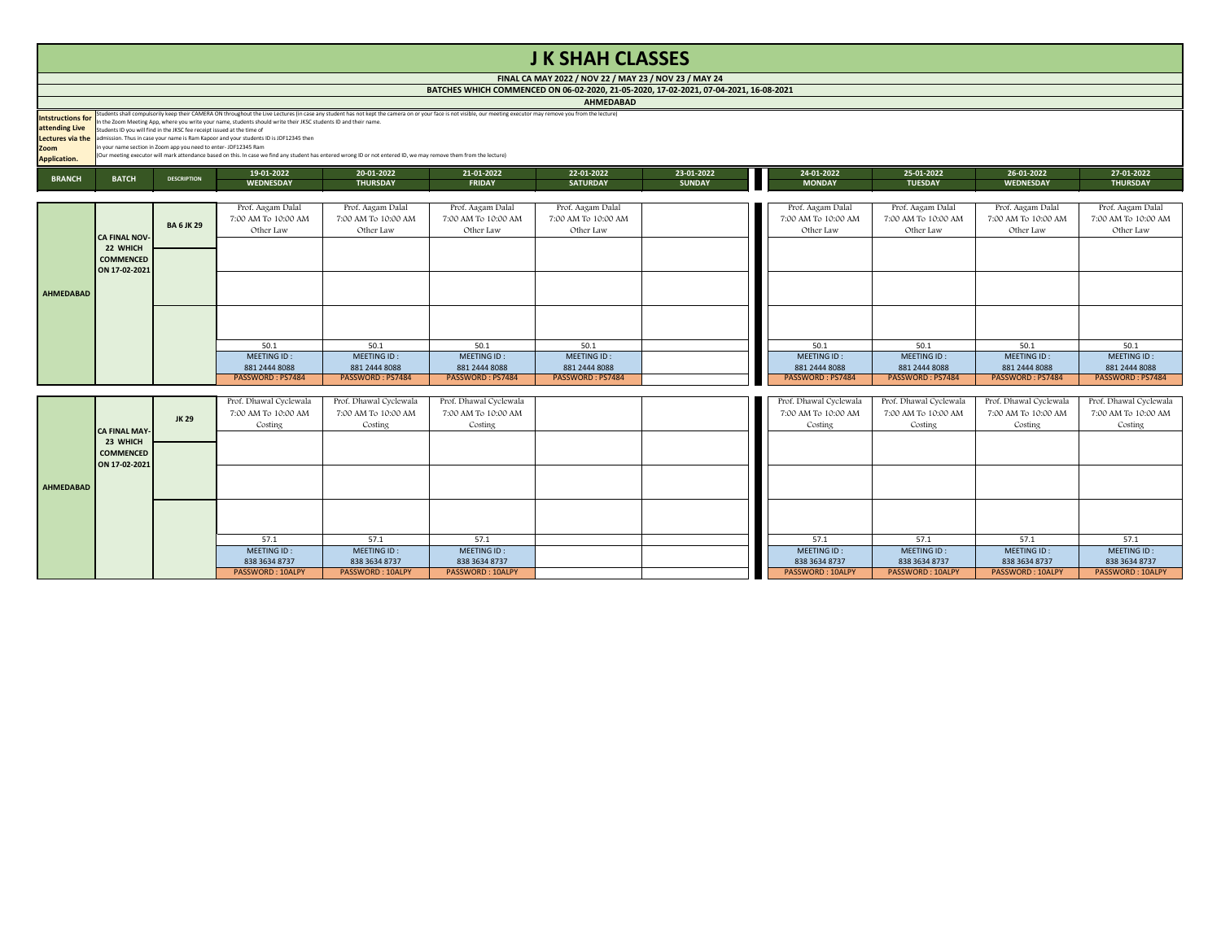# **J K SHAH CLASSES**

**AHMEDABAD**

|                                            |                                                                                                       |                                                                         |                                                                                                                                                                    |            |                                                                                                                                                                                                                  | <b>AUTREVADAD</b> |        |  |  |  |  |
|--------------------------------------------|-------------------------------------------------------------------------------------------------------|-------------------------------------------------------------------------|--------------------------------------------------------------------------------------------------------------------------------------------------------------------|------------|------------------------------------------------------------------------------------------------------------------------------------------------------------------------------------------------------------------|-------------------|--------|--|--|--|--|
| <b>Intstructions for</b><br>attending Live |                                                                                                       | Students ID you will find in the JKSC fee receipt issued at the time of | In the Zoom Meeting App, where you write your name, students should write their JKSC students ID and their name.                                                   |            | Students shall compulsorily keep their CAMERA ON throughout the Live Lectures (in case any student has not kept the camera on or your face is not visible, our meeting executor may remove you from the lecture) |                   |        |  |  |  |  |
| Lectures via the                           |                                                                                                       |                                                                         | admission. Thus in case your name is Ram Kapoor and your students ID is JDF12345 then                                                                              |            |                                                                                                                                                                                                                  |                   |        |  |  |  |  |
| <b>Zoom</b>                                |                                                                                                       | in your name section in Zoom app you need to enter-JDF12345 Ram         |                                                                                                                                                                    |            |                                                                                                                                                                                                                  |                   |        |  |  |  |  |
| <b>Application.</b>                        |                                                                                                       |                                                                         | (Our meeting executor will mark attendance based on this. In case we find any student has entered wrong ID or not entered ID, we may remove them from the lecture) |            |                                                                                                                                                                                                                  |                   |        |  |  |  |  |
| <b>BRANCH</b>                              |                                                                                                       | <b>DESCRIPTION</b>                                                      | 19-01-2022                                                                                                                                                         | 20-01-2022 | 21-01-2022                                                                                                                                                                                                       | 22-01-2022        | $23-0$ |  |  |  |  |
|                                            | <b>BATCH</b><br><b>SUI</b><br><b>FRIDAY</b><br><b>SATURDAY</b><br><b>WEDNESDAY</b><br><b>THURSDAY</b> |                                                                         |                                                                                                                                                                    |            |                                                                                                                                                                                                                  |                   |        |  |  |  |  |

| 19-01-2022             | 20-01-2022             | 21-01-2022             | 22-01-2022          | 23-01-2022    | 24-01-2022             | 25-01-2022             | 26-01-2022             | 27-01-2022             |
|------------------------|------------------------|------------------------|---------------------|---------------|------------------------|------------------------|------------------------|------------------------|
| <b>WEDNESDAY</b>       | <b>THURSDAY</b>        | <b>FRIDAY</b>          | <b>SATURDAY</b>     | <b>SUNDAY</b> | <b>MONDAY</b>          | <b>TUESDAY</b>         | <b>WEDNESDAY</b>       | <b>THURSDAY</b>        |
|                        |                        |                        |                     |               |                        |                        |                        |                        |
| Prof. Aagam Dalal      | Prof. Aagam Dalal      | Prof. Aagam Dalal      | Prof. Aagam Dalal   |               | Prof. Aagam Dalal      | Prof. Aagam Dalal      | Prof. Aagam Dalal      | Prof. Aagam Dalal      |
| 7:00 AM To 10:00 AM    | 7:00 AM To 10:00 AM    | 7:00 AM To 10:00 AM    | 7:00 AM To 10:00 AM |               | 7:00 AM To 10:00 AM    | 7:00 AM To 10:00 AM    | 7:00 AM To 10:00 AM    | 7:00 AM To 10:00 AM    |
| Other Law              | Other Law              | Other Law              | Other Law           |               | Other Law              | Other Law              | Other Law              | Other Law              |
|                        |                        |                        |                     |               |                        |                        |                        |                        |
|                        |                        |                        |                     |               |                        |                        |                        |                        |
|                        |                        |                        |                     |               |                        |                        |                        |                        |
|                        |                        |                        |                     |               |                        |                        |                        |                        |
|                        |                        |                        |                     |               |                        |                        |                        |                        |
|                        |                        |                        |                     |               |                        |                        |                        |                        |
|                        |                        |                        |                     |               |                        |                        |                        |                        |
|                        |                        |                        |                     |               |                        |                        |                        |                        |
|                        |                        |                        |                     |               |                        |                        |                        |                        |
| 50.1                   | 50.1                   | 50.1                   | 50.1                |               | 50.1                   | 50.1                   | 50.1                   | 50.1                   |
| MEETING ID:            | MEETING ID:            | MEETING ID:            | MEETING ID:         |               | MEETING ID:            | MEETING ID:            | MEETING ID:            | MEETING ID:            |
| 881 2444 8088          | 881 2444 8088          | 881 2444 8088          | 881 2444 8088       |               | 881 2444 8088          | 881 2444 8088          | 881 2444 8088          | 881 2444 8088          |
| PASSWORD: PS7484       | PASSWORD: PS7484       | PASSWORD: PS7484       | PASSWORD: PS7484    |               | PASSWORD: PS7484       | PASSWORD: PS7484       | PASSWORD: PS7484       | PASSWORD: PS7484       |
|                        |                        |                        |                     |               |                        |                        |                        |                        |
| Prof. Dhawal Cyclewala | Prof. Dhawal Cyclewala | Prof. Dhawal Cyclewala |                     |               | Prof. Dhawal Cyclewala | Prof. Dhawal Cyclewala | Prof. Dhawal Cyclewala | Prof. Dhawal Cyclewala |
| 7:00 AM To 10:00 AM    | 7:00 AM To 10:00 AM    | 7:00 AM To 10:00 AM    |                     |               | 7:00 AM To 10:00 AM    | 7:00 AM To 10:00 AM    | 7:00 AM To 10:00 AM    | 7:00 AM To 10:00 AM    |
| Costing                | Costing                | Costing                |                     |               | Costing                | Costing                | Costing                | Costing                |
|                        |                        |                        |                     |               |                        |                        |                        |                        |
|                        |                        |                        |                     |               |                        |                        |                        |                        |
|                        |                        |                        |                     |               |                        |                        |                        |                        |
|                        |                        |                        |                     |               |                        |                        |                        |                        |
|                        |                        |                        |                     |               |                        |                        |                        |                        |
|                        |                        |                        |                     |               |                        |                        |                        |                        |
|                        |                        |                        |                     |               |                        |                        |                        |                        |
|                        |                        |                        |                     |               |                        |                        |                        |                        |
|                        |                        |                        |                     |               |                        |                        |                        |                        |
| 57.1                   | 57.1                   | 57.1                   |                     |               | 57.1                   | 57.1                   | 57.1                   | 57.1                   |
| MEETING ID:            | MEETING ID:            | MEETING ID:            |                     |               | MEETING ID:            | MEETING ID:            | MEETING ID:            | MEETING ID:            |

|           |                              |                   | Prof. Aagam Dalal   | Prof. Aagam Dalal   | Prof. Aagam Dalal   | Prof. Aagam Dalal   | Prof. Aagam Dalal   | Prof. Aagam Dalal   | Prof. Aagam Dalal   | Prof. Aagam Dalal      |
|-----------|------------------------------|-------------------|---------------------|---------------------|---------------------|---------------------|---------------------|---------------------|---------------------|------------------------|
|           |                              |                   | 7:00 AM To 10:00 AM | 7:00 AM To 10:00 AM | 7:00 AM To 10:00 AM | 7:00 AM To 10:00 AM | 7:00 AM To 10:00 AM | 7:00 AM To 10:00 AM | 7:00 AM To 10:00 AM | 7:00 AM To 10:00 A     |
|           |                              | <b>BA 6 JK 29</b> | Other Law           | Other Law           | Other Law           | Other Law           | Other Law           | Other Law           | Other Law           | Other Law              |
|           | <b>CA FINAL NOV-</b>         |                   |                     |                     |                     |                     |                     |                     |                     |                        |
|           | 22 WHICH<br><b>COMMENCED</b> |                   |                     |                     |                     |                     |                     |                     |                     |                        |
|           | ON 17-02-2021                |                   |                     |                     |                     |                     |                     |                     |                     |                        |
|           |                              |                   |                     |                     |                     |                     |                     |                     |                     |                        |
| AHMEDABAD |                              |                   |                     |                     |                     |                     |                     |                     |                     |                        |
|           |                              |                   |                     |                     |                     |                     |                     |                     |                     |                        |
|           |                              |                   |                     |                     |                     |                     |                     |                     |                     |                        |
|           |                              |                   |                     |                     |                     |                     |                     |                     |                     |                        |
|           |                              |                   |                     |                     |                     |                     |                     |                     |                     |                        |
|           |                              |                   | 50.1                | 50.1                | 50.1                | 50.1                | 50.1                | 50.1                | 50.1                | 50.1                   |
|           |                              |                   | MEETING ID:         | MEETING ID:         | MEETING ID:         | MEETING ID:         | MEETING ID:         | MEETING ID:         | MEETING ID:         | MEETING ID:            |
|           |                              |                   | 881 2444 8088       | 881 2444 8088       | 881 2444 8088       | 881 2444 8088       | 881 2444 8088       | 881 2444 8088       | 881 2444 8088       | 881 2444 8088          |
|           |                              |                   | PASSWORD: PS7484    | PASSWORD: PS7484    | PASSWORD : PS7484   | PASSWORD: PS7484    | PASSWORD: PS7484    | PASSWORD: PS7484    | PASSWORD: PS7484    | <b>PASSWORD: PS748</b> |

|                  |                      |              | Prof. Dhawal Cyclewala | Prof. Dhawal Cyclewala | Prof. Dhawal Cyclewala | Prof. Dhawal Cyclewala | Prof. Dhawal Cyclewala | Prof. Dhawal Cyclewala | Prof. Dhawal Cyclewa    |
|------------------|----------------------|--------------|------------------------|------------------------|------------------------|------------------------|------------------------|------------------------|-------------------------|
|                  |                      |              | 7:00 AM To 10:00 AM    | 7:00 AM To 10:00 AM    | 7:00 AM To 10:00 AM    | 7:00 AM To 10:00 AM    | 7:00 AM To 10:00 AM    | 7:00 AM To 10:00 AM    | 7:00 AM To 10:00 AM     |
|                  |                      | <b>JK 29</b> | Costing                | Costing                | Costing                | Costing                | Costing                | Costing                | Costing                 |
|                  | <b>CA FINAL MAY-</b> |              |                        |                        |                        |                        |                        |                        |                         |
|                  | 23 WHICH             |              |                        |                        |                        |                        |                        |                        |                         |
|                  | <b>COMMENCED</b>     |              |                        |                        |                        |                        |                        |                        |                         |
|                  | ON 17-02-2021        |              |                        |                        |                        |                        |                        |                        |                         |
|                  |                      |              |                        |                        |                        |                        |                        |                        |                         |
| <b>AHMEDABAD</b> |                      |              |                        |                        |                        |                        |                        |                        |                         |
|                  |                      |              |                        |                        |                        |                        |                        |                        |                         |
|                  |                      |              |                        |                        |                        |                        |                        |                        |                         |
|                  |                      |              |                        |                        |                        |                        |                        |                        |                         |
|                  |                      |              | 57.1                   | 57.1                   | 57.1                   | 57.1                   | 57.1                   | 57.1                   | 57.1                    |
|                  |                      |              | MEETING ID:            | MEETING ID:            | MEETING ID:            | MEETING ID:            | MEETING ID:            | MEETING ID:            | MEETING ID:             |
|                  |                      |              | 838 3634 8737          | 838 3634 8737          | 838 3634 8737          | 838 3634 8737          | 838 3634 8737          | 838 3634 8737          | 838 3634 8737           |
|                  |                      |              | PASSWORD: 10ALPY       | PASSWORD: 10ALPY       | PASSWORD: 10ALPY       | PASSWORD: 10ALPY       | PASSWORD: 10ALPY       | PASSWORD: 10ALPY       | <b>PASSWORD: 10ALPY</b> |
|                  |                      |              |                        |                        |                        |                        |                        |                        |                         |

| MAY 24 |                                       |  |
|--------|---------------------------------------|--|
|        | 1. <u>22. 20. 20. 21. 21. 21. 21.</u> |  |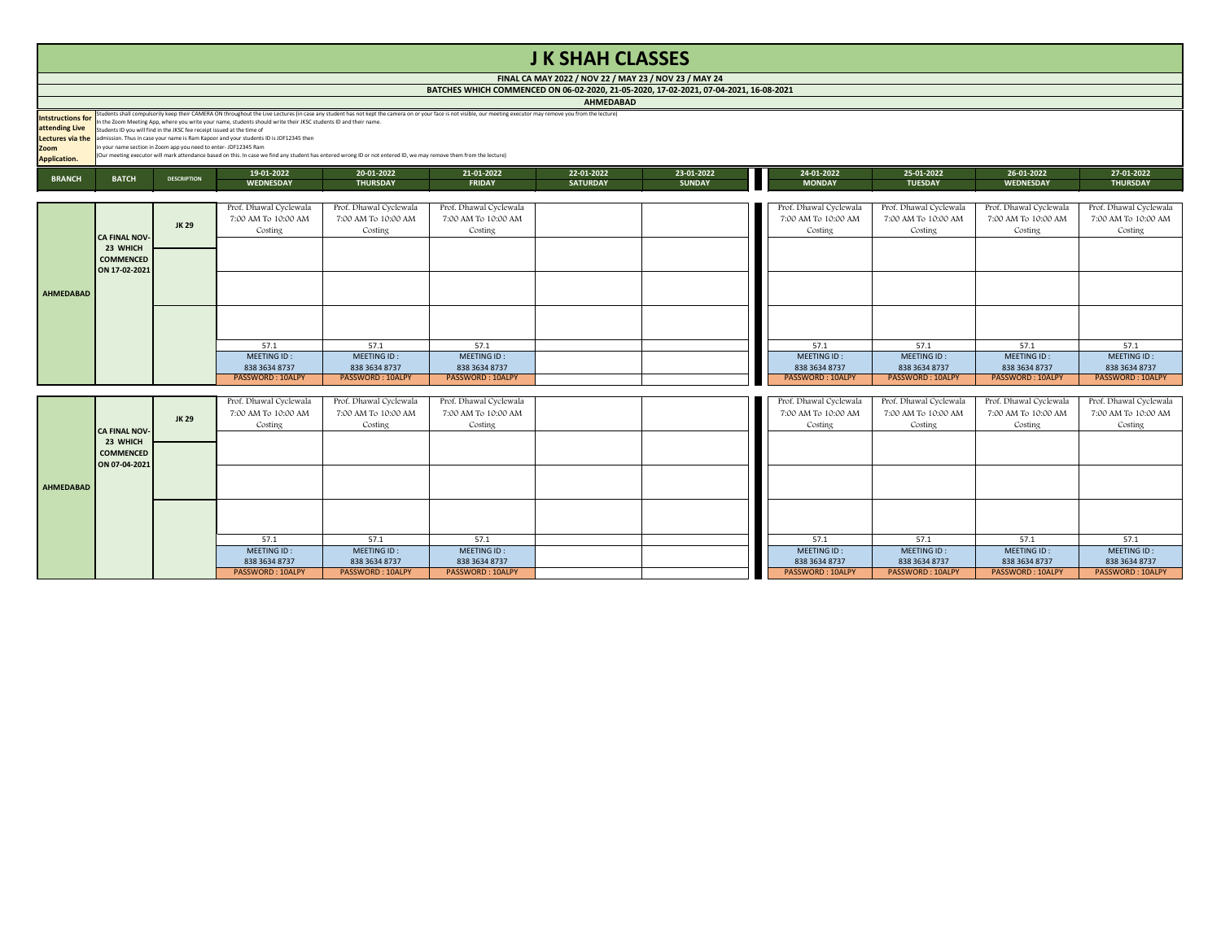## **J K SHAH CLASSES**

**AHMEDABAD**

|                          | <b>AURULDADAD</b> |                                                                                                                                                                                                                                                                                                                                                                                                                                                     |                                                                                                                                                                    |                 |               |                 |               |  |               |                |                  |                 |  |  |
|--------------------------|-------------------|-----------------------------------------------------------------------------------------------------------------------------------------------------------------------------------------------------------------------------------------------------------------------------------------------------------------------------------------------------------------------------------------------------------------------------------------------------|--------------------------------------------------------------------------------------------------------------------------------------------------------------------|-----------------|---------------|-----------------|---------------|--|---------------|----------------|------------------|-----------------|--|--|
| <b>Intstructions for</b> |                   | Students shall compulsorily keep their CAMERA ON throughout the Live Lectures (in case any student has not kept the camera on or your face is not visible, our meeting executor may remove you from the lecture) leads to heli<br>In the Zoom Meeting App, where you write your name, students should write their JKSC students ID and their name.<br><b>attending Live</b> Students ID you will find in the JKSC fee receipt issued at the time of |                                                                                                                                                                    |                 |               |                 |               |  |               |                |                  |                 |  |  |
|                          |                   |                                                                                                                                                                                                                                                                                                                                                                                                                                                     | <b>Lectures via the</b> admission. Thus in case your name is Ram Kapoor and your students ID is JDF12345 then                                                      |                 |               |                 |               |  |               |                |                  |                 |  |  |
| <b>Zoom</b>              |                   | $\frac{1}{2}$ in your name section in Zoom app you need to enter-JDF12345 Ram                                                                                                                                                                                                                                                                                                                                                                       |                                                                                                                                                                    |                 |               |                 |               |  |               |                |                  |                 |  |  |
| <b>Application.</b>      |                   |                                                                                                                                                                                                                                                                                                                                                                                                                                                     | (Our meeting executor will mark attendance based on this. In case we find any student has entered wrong ID or not entered ID, we may remove them from the lecture) |                 |               |                 |               |  |               |                |                  |                 |  |  |
| <b>BRANCH</b>            | <b>BATCH</b>      | <b>DESCRIPTION</b>                                                                                                                                                                                                                                                                                                                                                                                                                                  | 19-01-2022                                                                                                                                                         | 20-01-2022      | 21-01-2022    | 22-01-2022      | 23-01-2022    |  | 24-01-2022    | 25-01-2022     | 26-01-2022       | 27-01-2022      |  |  |
|                          |                   |                                                                                                                                                                                                                                                                                                                                                                                                                                                     | <b>WEDNESDAY</b>                                                                                                                                                   | <b>THURSDAY</b> | <b>FRIDAY</b> | <b>SATURDAY</b> | <b>SUNDAY</b> |  | <b>MONDAY</b> | <b>TUESDAY</b> | <b>WEDNESDAY</b> | <b>THURSDAY</b> |  |  |

| 19-01-2022              | 20-01-2022             | 21-01-2022              | 22-01-2022      | 23-01-2022    | 24-01-2022             | 25-01-2022              | 26-01-2022              | 27-01-2022             |
|-------------------------|------------------------|-------------------------|-----------------|---------------|------------------------|-------------------------|-------------------------|------------------------|
| <b>WEDNESDAY</b>        | <b>THURSDAY</b>        | <b>FRIDAY</b>           | <b>SATURDAY</b> | <b>SUNDAY</b> | <b>MONDAY</b>          | <b>TUESDAY</b>          | <b>WEDNESDAY</b>        | <b>THURSDAY</b>        |
|                         |                        |                         |                 |               |                        |                         |                         |                        |
| Prof. Dhawal Cyclewala  | Prof. Dhawal Cyclewala | Prof. Dhawal Cyclewala  |                 |               | Prof. Dhawal Cyclewala | Prof. Dhawal Cyclewala  | Prof. Dhawal Cyclewala  | Prof. Dhawal Cyclewala |
| 7:00 AM To 10:00 AM     | 7:00 AM To 10:00 AM    | 7:00 AM To 10:00 AM     |                 |               | 7:00 AM To 10:00 AM    | 7:00 AM To 10:00 AM     | 7:00 AM To 10:00 AM     | 7:00 AM To 10:00 AM    |
| Costing                 | Costing                | Costing                 |                 |               | Costing                | Costing                 | Costing                 | Costing                |
|                         |                        |                         |                 |               |                        |                         |                         |                        |
|                         |                        |                         |                 |               |                        |                         |                         |                        |
|                         |                        |                         |                 |               |                        |                         |                         |                        |
|                         |                        |                         |                 |               |                        |                         |                         |                        |
|                         |                        |                         |                 |               |                        |                         |                         |                        |
|                         |                        |                         |                 |               |                        |                         |                         |                        |
|                         |                        |                         |                 |               |                        |                         |                         |                        |
|                         |                        |                         |                 |               |                        |                         |                         |                        |
|                         |                        |                         |                 |               |                        |                         |                         |                        |
| 57.1                    | 57.1                   | 57.1                    |                 |               | 57.1                   | 57.1                    | 57.1                    | 57.1                   |
| MEETING ID:             | MEETING ID:            | MEETING ID:             |                 |               | MEETING ID:            | MEETING ID:             | MEETING ID:             | MEETING ID:            |
| 838 3634 8737           | 838 3634 8737          | 838 3634 8737           |                 |               | 838 3634 8737          | 838 3634 8737           | 838 3634 8737           | 838 3634 8737          |
| <b>PASSWORD: 10ALPY</b> | PASSWORD: 10ALPY       | <b>PASSWORD: 10ALPY</b> |                 |               | PASSWORD: 10ALPY       | <b>PASSWORD: 10ALPY</b> | <b>PASSWORD: 10ALPY</b> | PASSWORD: 10ALPY       |
|                         |                        |                         |                 |               |                        |                         |                         |                        |
| Prof. Dhawal Cyclewala  | Prof. Dhawal Cyclewala | Prof. Dhawal Cyclewala  |                 |               | Prof. Dhawal Cyclewala | Prof. Dhawal Cyclewala  | Prof. Dhawal Cyclewala  | Prof. Dhawal Cyclewala |
| 7:00 AM To 10:00 AM     | 7:00 AM To 10:00 AM    | 7:00 AM To 10:00 AM     |                 |               | 7:00 AM To 10:00 AM    | 7:00 AM To 10:00 AM     | 7:00 AM To 10:00 AM     | 7:00 AM To 10:00 AM    |
| Costing                 | Costing                | Costing                 |                 |               | Costing                | Costing                 | Costing                 | Costing                |
|                         |                        |                         |                 |               |                        |                         |                         |                        |
|                         |                        |                         |                 |               |                        |                         |                         |                        |
|                         |                        |                         |                 |               |                        |                         |                         |                        |
|                         |                        |                         |                 |               |                        |                         |                         |                        |
|                         |                        |                         |                 |               |                        |                         |                         |                        |
|                         |                        |                         |                 |               |                        |                         |                         |                        |
|                         |                        |                         |                 |               |                        |                         |                         |                        |
|                         |                        |                         |                 |               |                        |                         |                         |                        |

|                  |                      |              | Prof. Dhawal Cyclewala  | Prof. Dhawal Cyclewala  | Prof. Dhawal Cyclewala  | Prof. Dhawal Cyclewala  | Prof. Dhawal Cyclewala | Prof. Dhawal Cyclewala | Prof. Dhawal Cyclewala |
|------------------|----------------------|--------------|-------------------------|-------------------------|-------------------------|-------------------------|------------------------|------------------------|------------------------|
|                  |                      |              | 7:00 AM To 10:00 AM     | 7:00 AM To 10:00 AM     | 7:00 AM To 10:00 AM     | 7:00 AM To 10:00 AM     | 7:00 AM To 10:00 AM    | 7:00 AM To 10:00 AM    | 7:00 AM To 10:00 AM    |
|                  |                      | <b>JK 29</b> | Costing                 | Costing                 | Costing                 | Costing                 | Costing                | Costing                | Costing                |
|                  | <b>CA FINAL NOV-</b> |              |                         |                         |                         |                         |                        |                        |                        |
|                  | 23 WHICH             |              |                         |                         |                         |                         |                        |                        |                        |
|                  | <b>COMMENCED</b>     |              |                         |                         |                         |                         |                        |                        |                        |
|                  | ON 17-02-2021        |              |                         |                         |                         |                         |                        |                        |                        |
|                  |                      |              |                         |                         |                         |                         |                        |                        |                        |
| <b>AHMEDABAD</b> |                      |              |                         |                         |                         |                         |                        |                        |                        |
|                  |                      |              |                         |                         |                         |                         |                        |                        |                        |
|                  |                      |              |                         |                         |                         |                         |                        |                        |                        |
|                  |                      |              |                         |                         |                         |                         |                        |                        |                        |
|                  |                      |              |                         |                         |                         |                         |                        |                        |                        |
|                  |                      |              | 57.1                    | 57.1                    | 57.1                    | 57.1                    | 57.1                   | 57.1                   | 57.1                   |
|                  |                      |              | MEETING ID:             | MEETING ID:             | MEETING ID:             | MEETING ID:             | MEETING ID:            | MEETING ID:            | MEETING ID:            |
|                  |                      |              | 838 3634 8737           | 838 3634 8737           | 838 3634 8737           | 838 3634 8737           | 838 3634 8737          | 838 3634 8737          | 838 3634 8737          |
|                  |                      |              | <b>PASSWORD: 10ALPY</b> | <b>PASSWORD: 10ALPY</b> | <b>PASSWORD: 10ALPY</b> | <b>PASSWORD: 10ALPY</b> | PASSWORD: 10ALPY       | PASSWORD: 10ALPY       | PASSWORD: 10ALPY       |

|           |                      |              | Prof. Dhawal Cyclewala | Prof. Dhawal Cyclewala | Prof. Dhawal Cyclewala | Prof. Dhawal Cyclewala | Prof. Dhawal Cyclewala | Prof. Dhawal Cyclewala | Prof. Dhawal Cyclewa    |
|-----------|----------------------|--------------|------------------------|------------------------|------------------------|------------------------|------------------------|------------------------|-------------------------|
|           |                      | <b>JK 29</b> | 7:00 AM To 10:00 AM    | 7:00 AM To 10:00 AM    | 7:00 AM To 10:00 AM    | 7:00 AM To 10:00 AM    | 7:00 AM To 10:00 AM    | 7:00 AM To 10:00 AM    | 7:00 AM To 10:00 AM     |
|           |                      |              | Costing                | Costing                | Costing                | Costing                | Costing                | Costing                | Costing                 |
|           | <b>CA FINAL NOV-</b> |              |                        |                        |                        |                        |                        |                        |                         |
|           | 23 WHICH             |              |                        |                        |                        |                        |                        |                        |                         |
|           | COMMENCED            |              |                        |                        |                        |                        |                        |                        |                         |
|           | ON 07-04-2021        |              |                        |                        |                        |                        |                        |                        |                         |
|           |                      |              |                        |                        |                        |                        |                        |                        |                         |
| AHMEDABAD |                      |              |                        |                        |                        |                        |                        |                        |                         |
|           |                      |              |                        |                        |                        |                        |                        |                        |                         |
|           |                      |              |                        |                        |                        |                        |                        |                        |                         |
|           |                      |              |                        |                        |                        |                        |                        |                        |                         |
|           |                      |              | 57.1                   | 57.1                   | 57.1                   | 57.1                   | 57.1                   | 57.1                   | 57.1                    |
|           |                      |              | MEETING ID:            | MEETING ID:            | MEETING ID:            | MEETING ID:            | MEETING ID:            | MEETING ID:            | MEETING ID:             |
|           |                      |              | 838 3634 8737          | 838 3634 8737          | 838 3634 8737          | 838 3634 8737          | 838 3634 8737          | 838 3634 8737          | 838 3634 8737           |
|           |                      |              | PASSWORD: 10ALPY       | PASSWORD: 10ALPY       | PASSWORD: 10ALPY       | PASSWORD: 10ALPY       | PASSWORD: 10ALPY       | PASSWORD: 10ALPY       | <b>PASSWORD: 10ALPY</b> |
|           |                      |              |                        |                        |                        |                        |                        |                        |                         |

| MAY 24 |                         |  |
|--------|-------------------------|--|
|        | 1. በ7. በ1. ንበን1. 16. በ0 |  |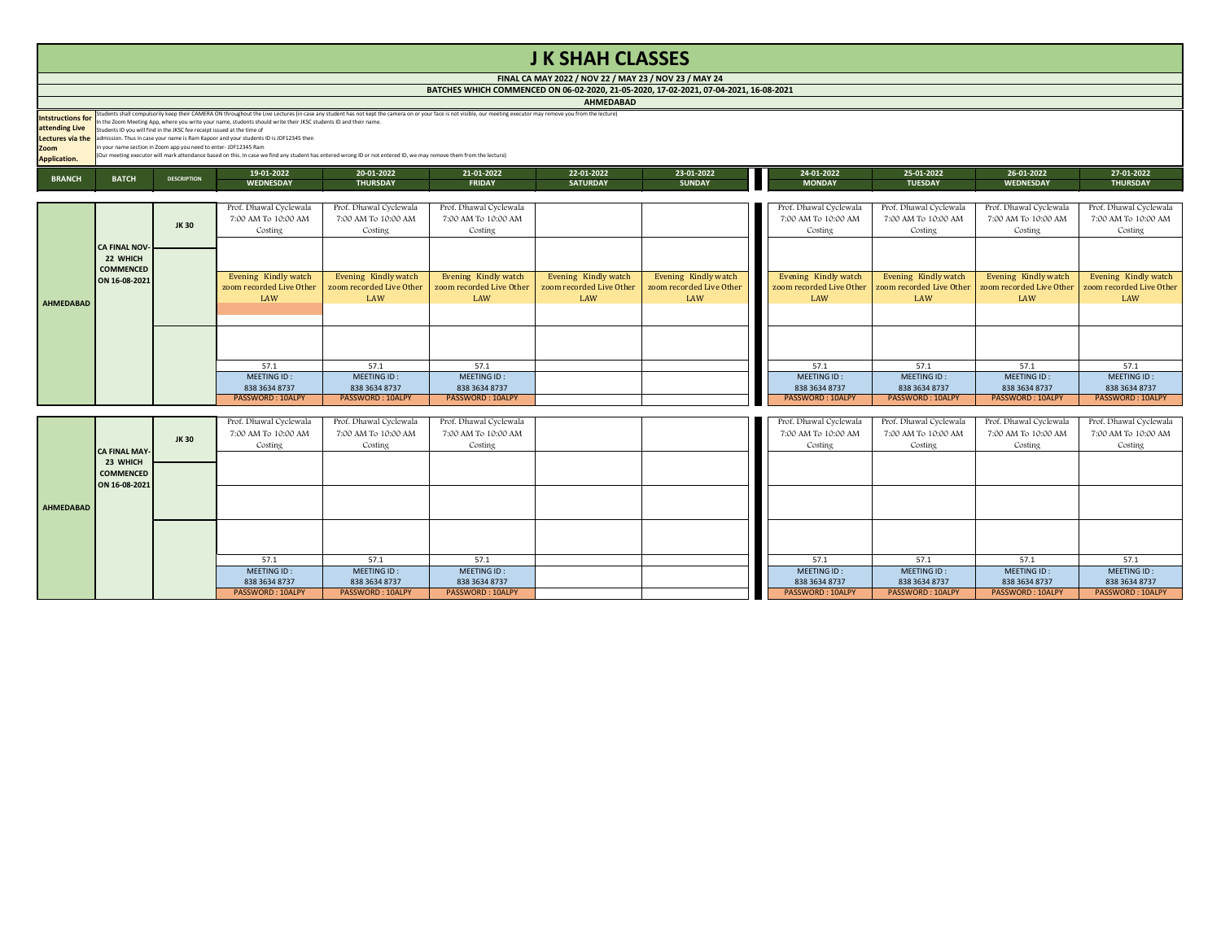# **J K SHAH CLASSES**

**FINAL CA MAY 2022 / NOV 22 / MAY 23 / NOV 23 / MAY 24 BATCHES WHICH COMMENCED ON 06-02-2020, 21-05-2020, 17-02-2021, 07-04-2021, 16-08-2021**

**AHMEDABAD**

|                                                         | <b>AUTREPARTY</b>                                                                                                                                                              |                    |                                                                                                                                                                                                                                                                                                                                                                                                                                                                                                                                                                                                                             |                               |                             |                               |                             |                             |                              |                                |                               |  |  |  |
|---------------------------------------------------------|--------------------------------------------------------------------------------------------------------------------------------------------------------------------------------|--------------------|-----------------------------------------------------------------------------------------------------------------------------------------------------------------------------------------------------------------------------------------------------------------------------------------------------------------------------------------------------------------------------------------------------------------------------------------------------------------------------------------------------------------------------------------------------------------------------------------------------------------------------|-------------------------------|-----------------------------|-------------------------------|-----------------------------|-----------------------------|------------------------------|--------------------------------|-------------------------------|--|--|--|
| Intstructions for<br><b>Zoom</b><br><b>Application.</b> | <b>attending Live</b> Students ID you will find in the JKSC fee receipt issued at the time of<br>$\frac{1}{2}$ in your name section in Zoom app you need to enter-JDF12345 Ram |                    | Students shall compulsorily keep their CAMERA ON throughout the Live Lectures (in case any student has not kept the camera on or your face is not visible, our meeting executor may remove you from the lecture)<br>In the Zoom Meeting App, where you write your name, students should write their JKSC students ID and their name.<br><b>Lectures via the</b> admission. Thus in case your name is Ram Kapoor and your students ID is JDF12345 then<br>(Our meeting executor will mark attendance based on this. In case we find any student has entered wrong ID or not entered ID, we may remove them from the lecture) |                               |                             |                               |                             |                             |                              |                                |                               |  |  |  |
| <b>BRANCH</b>                                           | <b>BATCH</b>                                                                                                                                                                   | <b>DESCRIPTION</b> | 19-01-2022<br><b>WEDNESDAY</b>                                                                                                                                                                                                                                                                                                                                                                                                                                                                                                                                                                                              | 20-01-2022<br><b>THURSDAY</b> | 21-01-2022<br><b>FRIDAY</b> | 22-01-2022<br><b>SATURDAY</b> | 23-01-2022<br><b>SUNDAY</b> | 24-01-2022<br><b>MONDAY</b> | 25-01-2022<br><b>TUESDAY</b> | 26-01-2022<br><b>WEDNESDAY</b> | 27-01-2022<br><b>THURSDAY</b> |  |  |  |

**WEDNESDAY THURSDAY FRIDAY SATURDAY SUNDAY MONDAY TUESDAY WEDNESDAY THURSDAY** 7:00 AM To 10:00 AM | 7:00 AM To 10:00 AM | 7:00 AM To 10:00 AM | 7:00 AM To 10:00 AM | 7:00 AM To 10:00 AM | 7:00 AM To 10:00 AM | 7:00 AM To 10:00 AM | 7:00 AM To 10:00 AM Costing Costing Costing Costing Costing Costing Costing Kindly watch led Live Other  $\overline{\mathsf{W}}$  Evening Kindly watch zoom recorded Live Other LAW Evening Kindly watch zoom recorded Live Other LAW Evening Kindly watch zoom recorded Live Other LAW Evening Kindly watch zoom recorded Live Other LAW 57.1 57.1 57.1 57.1 57.1 57.1 57.1 MEETING ID : 838 3634 8737<br>PASSWORD: 10ALPY MEETING ID : 838 3634 8737<br>PASSWORD: 10ALPY MEETING ID : 838 3634 8737 MEETING ID : 838 3634 8737<br>PASSWORD: 10ALPY PASSWORD:10ALPY | PASSWORD:10ALPY | PASSWORD:10ALPY | PASSWORD:10ALPY | PASSWORD:10ALPY | PASSWORD:10ALPY Prof. Dhawal Cyclewala | Prof. Dhawal Cyclewala | Prof. Dhawal Cyclewala | Prof. Dhawal Cyclewala | Prof. Dhawal Cyclewala | Prof. Dhawal Cyclewala | Prof. Dhawal Cyclewala | Prof. Dhawal Cyclewala | Prof. Dhawal Cyclewala 7:00 AM To 10:00 AM | 7:00 AM To 10:00 AM | 7:00 AM To 10:00 AM | 7:00 AM To 10:00 AM | 7:00 AM To 10:00 AM | 7:00 AM To 10:00 AM | 7:00 AM To 10:00 AM | 7:00 AM To 10:00 AM Costing Costing Costing Costing Costing Costing Costing

|           | <b>CA FINAL NOV-</b><br>22 WHICH  | <b>JK30</b> | Prof. Dhawal Cyclewala<br>7:00 AM To 10:00 AM<br>Costing | Prof. Dhawal Cyclewala<br>7:00 AM To 10:00 AM<br>Costing | Prof. Dhawal Cyclewala<br>7:00 AM To 10:00 AM<br>Costing |                                                  |                                                  | Prof. Dhawal Cyclewala<br>7:00 AM To 10:00 AM<br>Costing | Prof. Dhawal Cyclewala<br>7:00 AM To 10:00 AM<br>Costing | Prof. Dhawal Cyclewala<br>7:00 AM To 10:00 AM<br>Costing                   | Prof. Dhawal Cyclewala<br>7:00 AM To 10:00 AM<br>Costing |
|-----------|-----------------------------------|-------------|----------------------------------------------------------|----------------------------------------------------------|----------------------------------------------------------|--------------------------------------------------|--------------------------------------------------|----------------------------------------------------------|----------------------------------------------------------|----------------------------------------------------------------------------|----------------------------------------------------------|
|           | <b>COMMENCED</b><br>ON 16-08-2021 |             | Evening Kindly watch<br>zoom recorded Live Other         | Evening Kindly watch<br>zoom recorded Live Other         | Evening Kindly watch<br>zoom recorded Live Other         | Evening Kindly watch<br>zoom recorded Live Other | Evening Kindly watch<br>zoom recorded Live Other | Evening Kindly watch<br>zoom recorded Live Other         | Evening Kindly watch<br>zoom recorded Live Other         | Evening Kindly watch<br>zoom recorded Live Other   zoom recorded Live Othe | Evening Kindly watch                                     |
| AHMEDABAD |                                   |             | <b>LAW</b>                                               | <b>LAW</b>                                               | LAW                                                      | <b>LAW</b>                                       | <b>LAW</b>                                       | <b>LAW</b>                                               | <b>LAW</b>                                               | LAW                                                                        | LAW                                                      |
|           |                                   |             |                                                          |                                                          |                                                          |                                                  |                                                  |                                                          |                                                          |                                                                            |                                                          |
|           |                                   |             |                                                          |                                                          |                                                          |                                                  |                                                  |                                                          |                                                          |                                                                            |                                                          |
|           |                                   |             |                                                          |                                                          |                                                          |                                                  |                                                  |                                                          |                                                          |                                                                            |                                                          |
|           |                                   |             | 57.1                                                     | 57.1                                                     | 57.1                                                     |                                                  |                                                  | 57.1                                                     | 57.1                                                     | 57.1                                                                       | 57.1                                                     |
|           |                                   |             | MEETING ID:                                              | MEETING ID:                                              | MEETING ID:                                              |                                                  |                                                  | MEETING ID:                                              | MEETING ID:                                              | MEETING ID:                                                                | MEETING ID:                                              |
|           |                                   |             | 838 3634 8737                                            | 838 3634 8737                                            | 838 3634 8737                                            |                                                  |                                                  | 838 3634 8737                                            | 838 3634 8737                                            | 838 3634 8737                                                              | 838 3634 8737                                            |
|           |                                   |             | PASSWORD: 10ALPY                                         | PASSWORD: 10ALPY                                         | PASSWORD: 10ALPY                                         |                                                  |                                                  | <b>PASSWORD: 10ALPY</b>                                  | PASSWORD: 10ALPY                                         | PASSWORD: 10ALPY                                                           | PASSWORD: 10ALPY                                         |

MEETING ID : 838 3634 8737 MEETING ID : 838 3634 8737<br>PASSWORD : 10ALPY MEETING ID : 838 3634 8737 MEETING ID : 838 3634 8737

|                  |                      |             | Prof. Dhawal Cyclewala | Prof. Dhawal Cyclewala | Prof. Dhawal Cyclewala | Prof. Dhawal Cyclewala | Prof. Dhawal Cyclewala | Prof. Dhawal Cyclewala | Prof. Dhawal Cyclewa    |
|------------------|----------------------|-------------|------------------------|------------------------|------------------------|------------------------|------------------------|------------------------|-------------------------|
|                  |                      | <b>JK30</b> | 7:00 AM To 10:00 AM    | 7:00 AM To 10:00 AM    | 7:00 AM To 10:00 AM    | 7:00 AM To 10:00 AM    | 7:00 AM To 10:00 AM    | 7:00 AM To 10:00 AM    | 7:00 AM To 10:00 AM     |
|                  |                      |             | Costing                | Costing                | Costing                | Costing                | Costing                | Costing                | Costing                 |
|                  | <b>CA FINAL MAY-</b> |             |                        |                        |                        |                        |                        |                        |                         |
|                  | 23 WHICH             |             |                        |                        |                        |                        |                        |                        |                         |
|                  | <b>COMMENCED</b>     |             |                        |                        |                        |                        |                        |                        |                         |
|                  | ON 16-08-2021        |             |                        |                        |                        |                        |                        |                        |                         |
|                  |                      |             |                        |                        |                        |                        |                        |                        |                         |
| <b>AHMEDABAD</b> |                      |             |                        |                        |                        |                        |                        |                        |                         |
|                  |                      |             |                        |                        |                        |                        |                        |                        |                         |
|                  |                      |             |                        |                        |                        |                        |                        |                        |                         |
|                  |                      |             |                        |                        |                        |                        |                        |                        |                         |
|                  |                      |             |                        |                        |                        |                        |                        |                        |                         |
|                  |                      |             | 57.1                   | 57.1                   | 57.1                   | 57.1                   | 57.1                   | 57.1                   | 57.1                    |
|                  |                      |             | MEETING ID:            | MEETING ID:            | MEETING ID:            | MEETING ID:            | MEETING ID:            | MEETING ID:            | MEETING ID:             |
|                  |                      |             | 838 3634 8737          | 838 3634 8737          | 838 3634 8737          | 838 3634 8737          | 838 3634 8737          | 838 3634 8737          | 838 3634 8737           |
|                  |                      |             | PASSWORD: 10ALPY       | PASSWORD: 10ALPY       | PASSWORD: 10ALPY       | PASSWORD: 10ALPY       | PASSWORD: 10ALPY       | PASSWORD: 10ALPY       | <b>PASSWORD: 10ALPY</b> |